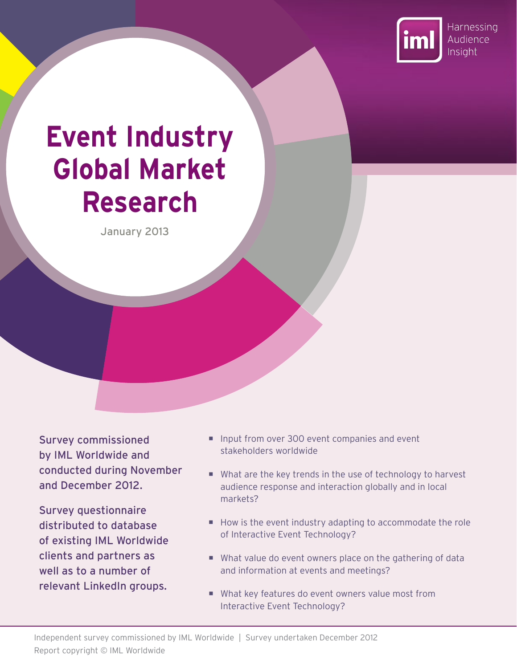

# **Event Industry Global Market Research**

January 2013

Survey commissioned by IML Worldwide and conducted during November and December 2012.

Survey questionnaire distributed to database of existing IML Worldwide clients and partners as well as to a number of relevant LinkedIn groups.

- Input from over 300 event companies and event stakeholders worldwide
- What are the key trends in the use of technology to harvest audience response and interaction globally and in local markets?
- How is the event industry adapting to accommodate the role of Interactive Event Technology?
- What value do event owners place on the gathering of data and information at events and meetings?
- What key features do event owners value most from Interactive Event Technology?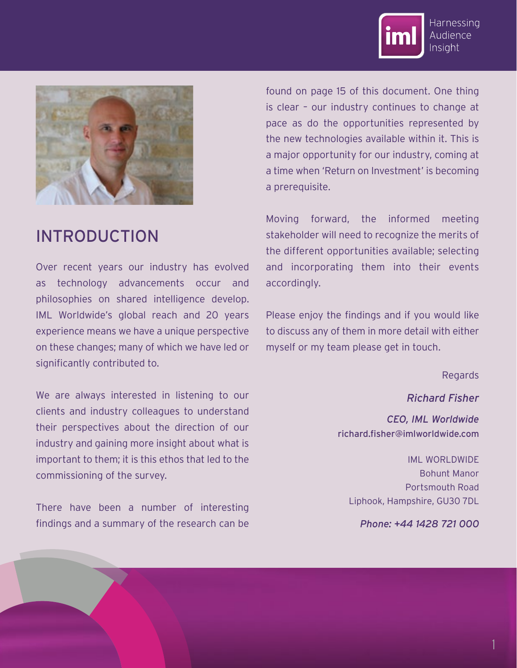



## INTRODUCTION

Over recent years our industry has evolved as technology advancements occur and philosophies on shared intelligence develop. IML Worldwide's global reach and 20 years experience means we have a unique perspective on these changes; many of which we have led or significantly contributed to.

We are always interested in listening to our clients and industry colleagues to understand their perspectives about the direction of our industry and gaining more insight about what is important to them; it is this ethos that led to the commissioning of the survey.

There have been a number of interesting findings and a summary of the research can be

found on page 15 of this document. One thing is clear – our industry continues to change at pace as do the opportunities represented by the new technologies available within it. This is a major opportunity for our industry, coming at a time when 'Return on Investment' is becoming a prerequisite.

Moving forward, the informed meeting stakeholder will need to recognize the merits of the different opportunities available; selecting and incorporating them into their events accordingly.

Please enjoy the findings and if you would like to discuss any of them in more detail with either myself or my team please get in touch.

Regards

*Richard Fisher CEO, IML Worldwide* richard.fisher@imlworldwide.com

IML WORLDWIDE Bohunt Manor Portsmouth Road Liphook, Hampshire, GU30 7DL

*Phone: +44 1428 721 000*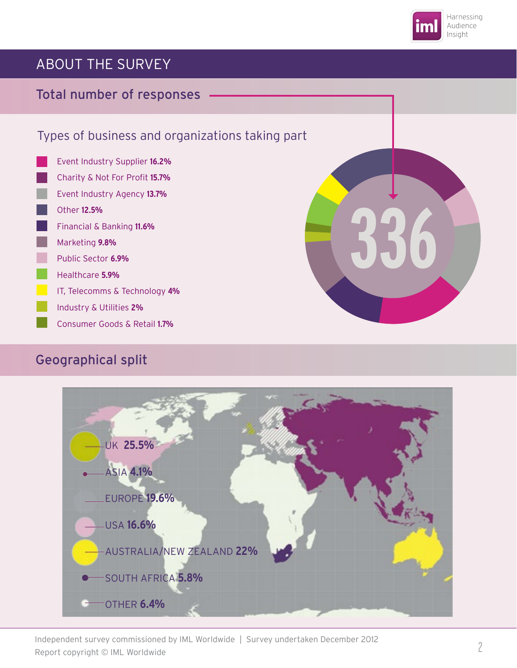

## ABOUT THE SURVEY

#### Total number of responses

#### Types of business and organizations taking part

Event Industry Supplier **16.2%** Charity & Not For Profit 15.7% Event Industry Agency **13.7%** Other **12.5%**  Financial & Banking **11.6%** Marketing **9.8%** Public Sector **6.9%** Healthcare **5.9%** IT, Telecomms & Technology **4%** Industry & Utilities **2%** Consumer Goods & Retail **1.7%**

#### Geographical split





Independent survey commissioned by IML Worldwide | Survey undertaken December 2012 Report copyright © IML Worldwide 2012 Report copyright © IML Worldwide 2012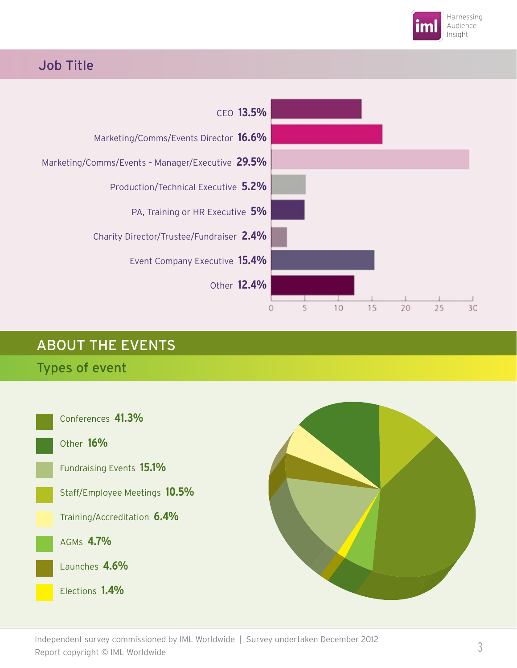

#### Job Title



## ABOUT THE EVENTS

#### Types of event



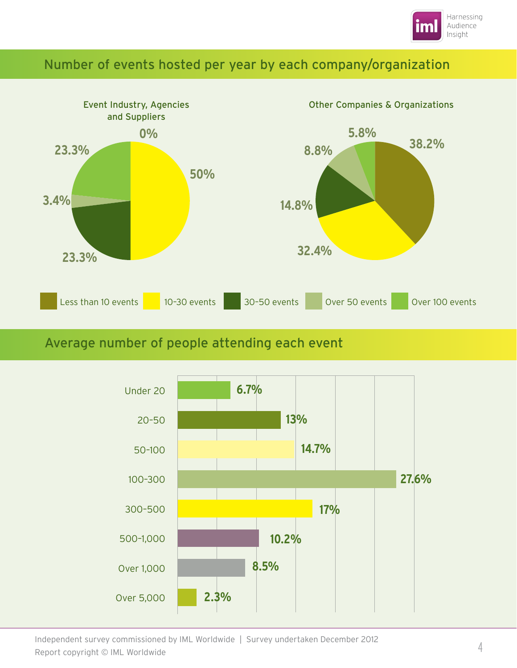

#### Number of events hosted per year by each company/organization



#### Average number of people attending each event



Independent survey commissioned by IML Worldwide | Survey undertaken December 2012 Report copyright © IML Worldwide 4 Symmetry and Content of Become the Content of A 4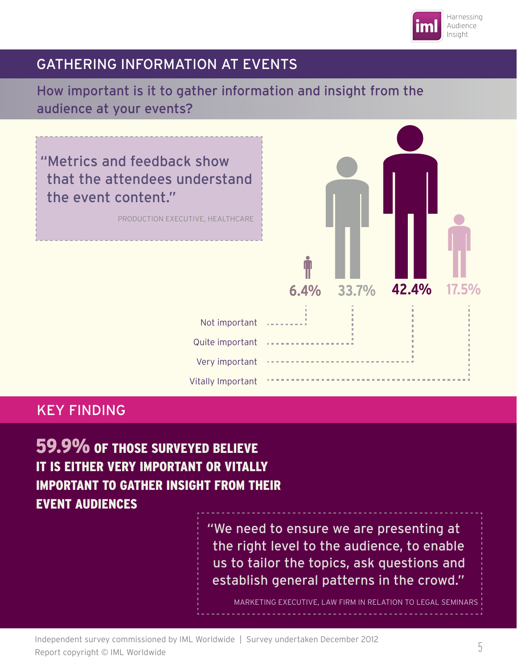

#### GATHERING INFORMATION AT EVENTS

#### How important is it to gather information and insight from the audience at your events?

"Metrics and feedback show that the attendees understand the event content."

PRODUCTION EXECUTIVE, HEALTHCARE



#### KEY FINDING

59.9% OF THOSE SURVEYED BELIEVE IT IS EITHER VERY IMPORTANT OR VITALLY IMPORTANT TO GATHER INSIGHT FROM THEIR EVENT AUDIENCES

> "We need to ensure we are presenting at the right level to the audience, to enable us to tailor the topics, ask questions and establish general patterns in the crowd."

MARKETING EXECUTIVE, LAW FIRM IN RELATION TO LEGAL SEMINARS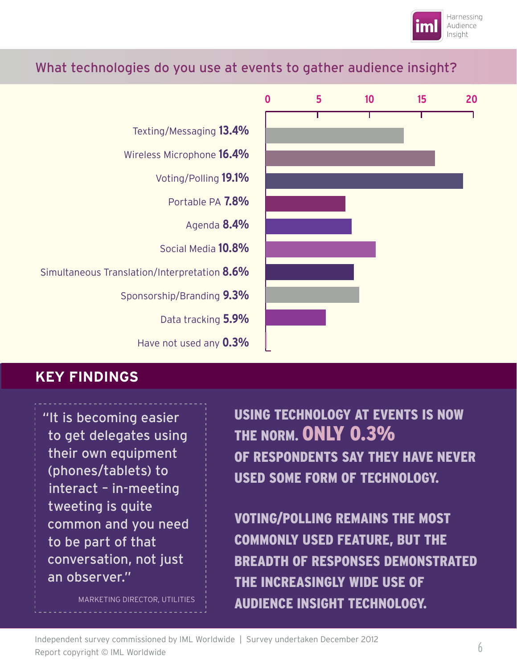

#### What technologies do you use at events to gather audience insight?



#### **KEY FINDINGS**

"It is becoming easier to get delegates using their own equipment (phones/tablets) to interact – in-meeting tweeting is quite common and you need to be part of that conversation, not just an observer."

MARKETING DIRECTOR, UTILITIES

USING TECHNOLOGY AT EVENTS IS NOW THE NORM. ONLY 0.3% OF RESPONDENTS SAY THEY HAVE NEVER USED SOME FORM OF TECHNOLOGY.

VOTING/POLLING REMAINS THE MOST COMMONLY USED FEATURE, BUT THE BREADTH OF RESPONSES DEMONSTRATED THE INCREASINGLY WIDE USE OF AUDIENCE INSIGHT TECHNOLOGY.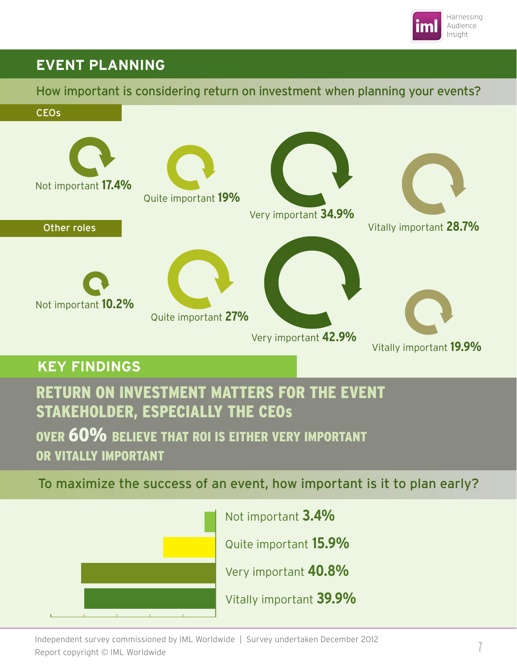

#### <u>EVENT PLANNING</u> **EVENT PLANNING**

How important is considering return on investment when planning your events?



To maximize the success of an event, how important is it to plan early?



Not important **3.4%**

Quite important **15.9%**

Very important **40.8%**

Vitally important **39.9%**

Independent survey commissioned by IML Worldwide | Survey undertaken December 2012 Report copyright © IML Worldwide 7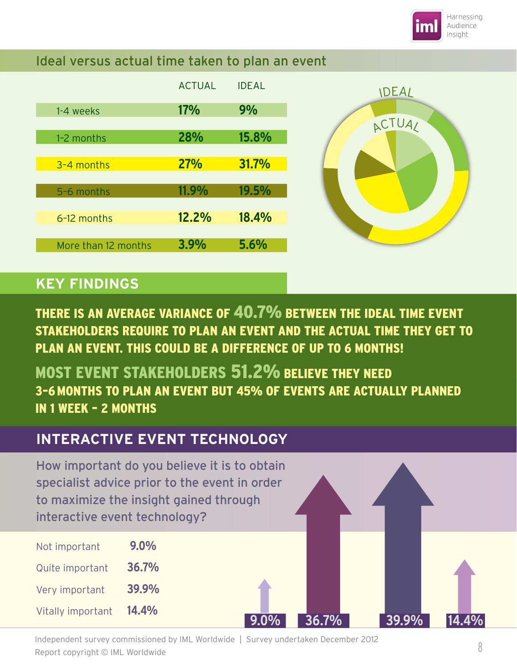

#### Ideal versus actual time taken to plan an event

|                     | <b>ACTUAL</b> | <b>IDEAL</b> |
|---------------------|---------------|--------------|
| 1-4 weeks           | <b>17%</b>    | 9%           |
|                     |               |              |
| 1-2 months          | 28%           | 15.8%        |
| 3-4 months          | <b>27%</b>    | 31.7%        |
|                     |               |              |
| 5-6 months          | 11.9%         | 19.5%        |
|                     | 12.2%         | 18.4%        |
| 6-12 months         |               |              |
| More than 12 months | 3.9%          | 5.6%         |
|                     |               |              |



**9.0% 36.7% 39.9% 14.4%**

### **KEY FINDINGS**

THERE IS AN AVERAGE VARIANCE OF 40.7% BETWEEN THE IDEAL TIME EVENT STAKEHOLDERS REQUIRE TO PLAN AN EVENT AND THE ACTUAL TIME THEY GET TO PLAN AN EVENT. THIS COULD BE A DIFFERENCE OF UP TO 6 MONTHS!

MOST EVENT STAKEHOLDERS 51.2% BELIEVE THEY NEED 3–6MONTHS TO PLAN AN EVENT BUT 45% OF EVENTS ARE ACTUALLY PLANNED IN 1 WEEK – 2 MONTHS

### **INTERACTIVE EVENT TECHNOLOGY**

How important do you believe it is to obtain specialist advice prior to the event in order to maximize the insight gained through interactive event technology?

| Not important            | $9.0\%$ |
|--------------------------|---------|
| Quite important          | 36.7%   |
| Very important           | 39.9%   |
| <b>Vitally important</b> | 14.4%   |

Independent survey commissioned by IML Worldwide | Survey undertaken December 2012 Report copyright © IML Worldwide 8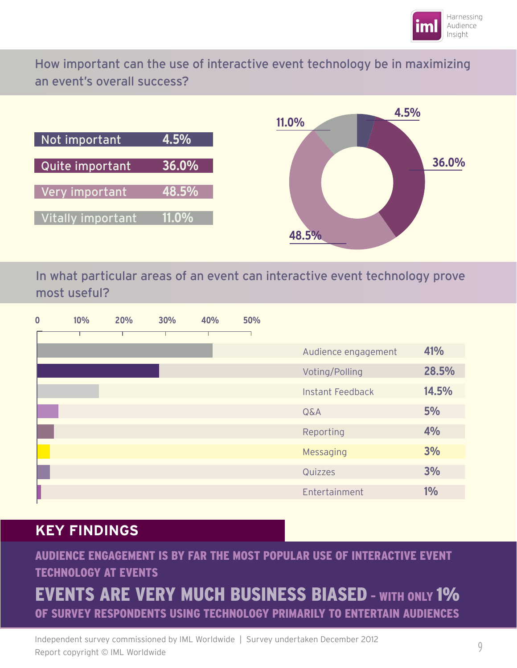

How important can the use of interactive event technology be in maximizing an event's overall success?





In what particular areas of an event can interactive event technology prove most useful?

| $\bf{0}$ | 10% | 20% | 30% | 40% | 50% |                         |       |
|----------|-----|-----|-----|-----|-----|-------------------------|-------|
|          |     |     |     |     |     |                         |       |
|          |     |     |     |     |     | Audience engagement     | 41%   |
|          |     |     |     |     |     | Voting/Polling          | 28.5% |
|          |     |     |     |     |     | <b>Instant Feedback</b> | 14.5% |
|          |     |     |     |     |     | $Q\&A$                  | 5%    |
|          |     |     |     |     |     | Reporting               | 4%    |
|          |     |     |     |     |     | Messaging               | 3%    |
|          |     |     |     |     |     | Quizzes                 | 3%    |
|          |     |     |     |     |     | Entertainment           | 1%    |

## **KEY FINDINGS**

### AUDIENCE ENGAGEMENT IS BY FAR THE MOST POPULAR USE OF INTERACTIVE EVENT TECHNOLOGY AT EVENTS

## EVENTS ARE VERY MUCH BUSINESS BIASED – WITH ONLY 1% OF SURVEY RESPONDENTS USING TECHNOLOGY PRIMARILY TO ENTERTAIN AUDIENCES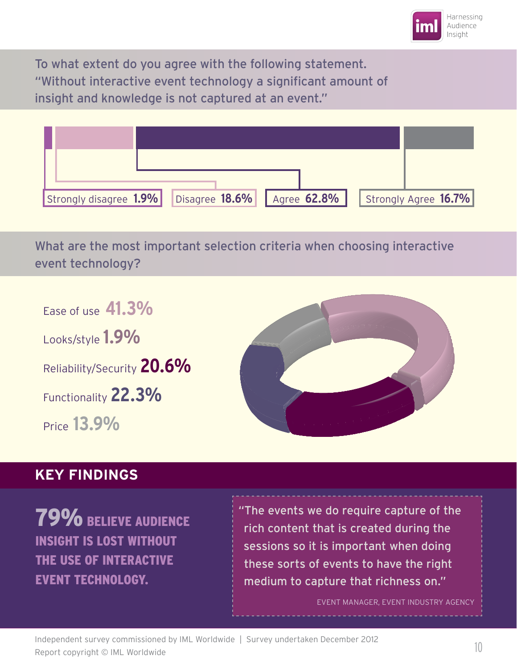

To what extent do you agree with the following statement. "Without interactive event technology a significant amount of insight and knowledge is not captured at an event."



What are the most important selection criteria when choosing interactive event technology?

Ease of use **41.3%** Looks/style **1.9%** Reliability/Security **20.6%** Functionality **22.3%** Price **13.9%**



#### **KEY FINDINGS**

79% BELIEVE AUDIENCE INSIGHT IS LOST WITHOUT THE USE OF INTERACTIVE EVENT TECHNOLOGY.

"The events we do require capture of the rich content that is created during the sessions so it is important when doing these sorts of events to have the right medium to capture that richness on."

EVENT MANAGER, EVENT INDUSTRY AGENCY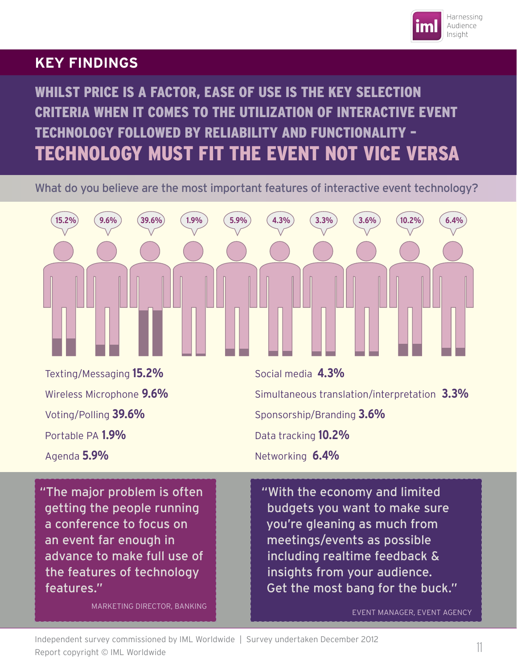

#### **KEY FINDINGS**

WHILST PRICE IS A FACTOR, EASE OF USE IS THE KEY SELECTION CRITERIA WHEN IT COMES TO THE UTILIZATION OF INTERACTIVE EVENT TECHNOLOGY FOLLOWED BY RELIABILITY AND FUNCTIONALITY – TECHNOLOGY MUST FIT THE EVENT NOT VICE VERSA

What do you believe are the most important features of interactive event technology?



Networking **6.4%**

Agenda **5.9%**

"The major problem is often getting the people running a conference to focus on an event far enough in advance to make full use of the features of technology features."

MARKETING DIRECTOR, BANKING

"With the economy and limited budgets you want to make sure you're gleaning as much from meetings/events as possible including realtime feedback & insights from your audience. Get the most bang for the buck."

EVENT MANAGER, EVENT AGENCY

Independent survey commissioned by IML Worldwide | Survey undertaken December 2012 Report copyright © IML Worldwide 11 March 2001.15, and creation 2001.15. IDM 11 March 2001.15.1 March 2001.15<br>Report copyright © IML Worldwide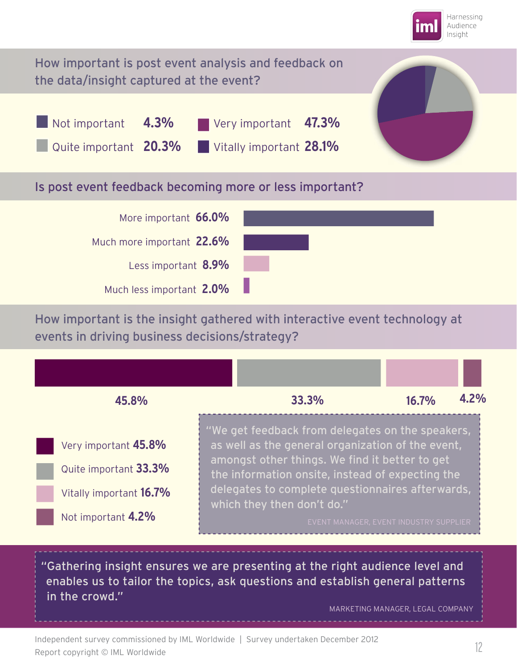



How important is the insight gathered with interactive event technology at events in driving business decisions/strategy?



"Gathering insight ensures we are presenting at the right audience level and enables us to tailor the topics, ask questions and establish general patterns in the crowd."

MARKETING MANAGER, LEGAL COMPANY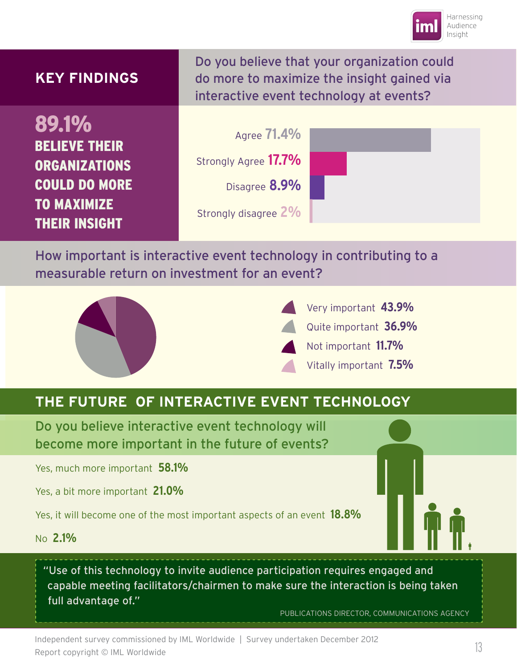

| <b>KEY FINDINGS</b>                                                                                                         | Do you believe that your organization could<br>do more to maximize the insight gained via<br>interactive event technology at events? |  |
|-----------------------------------------------------------------------------------------------------------------------------|--------------------------------------------------------------------------------------------------------------------------------------|--|
| 89.1%<br><b>BELIEVE THEIR</b><br><b>ORGANIZATIONS</b><br><b>COULD DO MORE</b><br><b>TO MAXIMIZE</b><br><b>THEIR INSIGHT</b> | Agree <b>71.4%</b><br>Strongly Agree 17.7%<br>Disagree 8.9%<br>Strongly disagree 2%                                                  |  |

How important is interactive event technology in contributing to a measurable return on investment for an event?





## **THE FUTURE OF INTERACTIVE EVENT TECHNOLOGY**

Do you believe interactive event technology will become more important in the future of events?

Yes, much more important **58.1%**

Yes, a bit more important **21.0%**

Yes, it will become one of the most important aspects of an event **18.8%**

No **2.1%**

"Use of this technology to invite audience participation requires engaged and capable meeting facilitators/chairmen to make sure the interaction is being taken full advantage of."

PUBLICATIONS DIRECTOR, COMMUNICATIONS AGENCY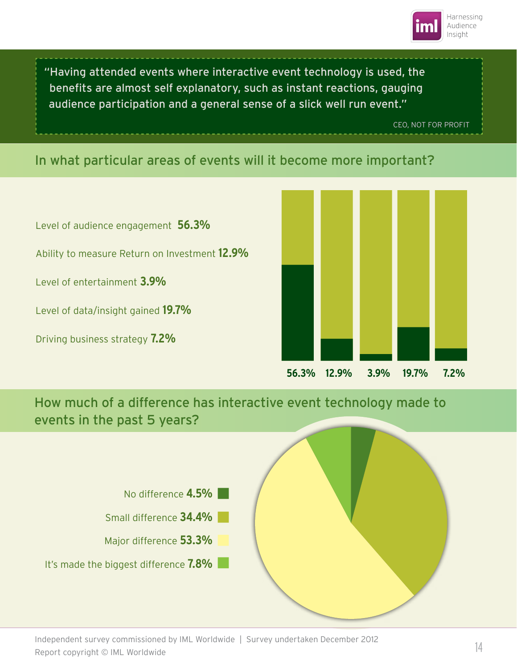

"Having attended events where interactive event technology is used, the benefits are almost self explanatory, such as instant reactions, gauging audience participation and a general sense of a slick well run event."

CEO, NOT FOR PROFIT

#### In what particular areas of events will it become more important?

Level of audience engagement **56.3%** Ability to measure Return on Investment **12.9%** Level of entertainment **3.9%** Level of data/insight gained **19.7%** Driving business strategy **7.2%**



How much of a difference has interactive event technology made to events in the past 5 years?



Independent survey commissioned by IML Worldwide | Survey undertaken December 2012 Report copyright © IML Worldwide 14